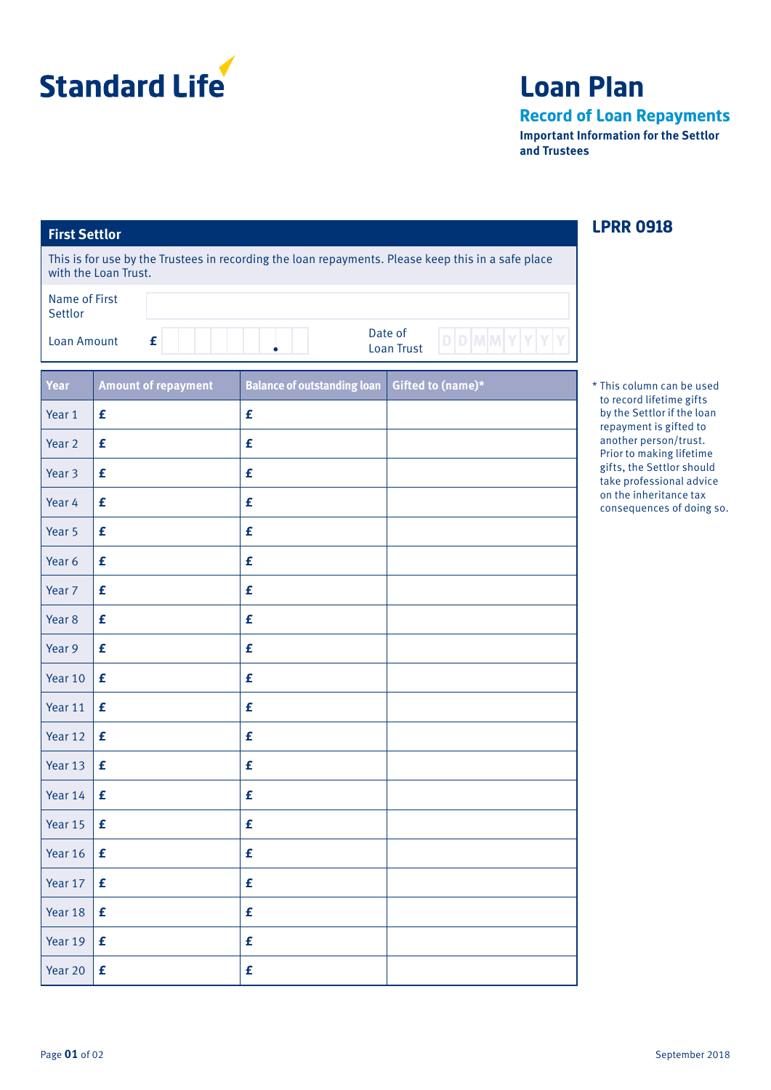

## **Loan Plan**

**Record of Loan Repayments**

**Important Information for the Settlor and Trustees**

| <b>First Settlor</b>                                |                      | <b>LPRR 0918</b>             |                                    |                                                                                                    |                                                       |
|-----------------------------------------------------|----------------------|------------------------------|------------------------------------|----------------------------------------------------------------------------------------------------|-------------------------------------------------------|
|                                                     | with the Loan Trust. |                              |                                    | This is for use by the Trustees in recording the loan repayments. Please keep this in a safe place |                                                       |
| Name of First<br>Settlor<br><b>Loan Amount</b><br>£ |                      |                              |                                    |                                                                                                    |                                                       |
|                                                     |                      | Date of<br><b>Loan Trust</b> |                                    |                                                                                                    |                                                       |
| Year                                                |                      | <b>Amount of repayment</b>   | <b>Balance of outstanding loan</b> | Gifted to (name)*                                                                                  | * This column can be used<br>to record lifetime gifts |
| Year 1                                              | £                    |                              | £                                  |                                                                                                    | by the Settlor if the loan<br>repayment is gifted to  |
| Year <sub>2</sub>                                   | $\pmb{\mathsf{f}}$   |                              | £                                  |                                                                                                    | another person/trust.<br>Prior to making lifetime     |
| Year 3                                              | $\pmb{\mathsf{f}}$   |                              | £                                  |                                                                                                    | gifts, the Settlor should<br>take professional advice |
| Year 4                                              | £                    |                              | $\pmb{\mathtt{f}}$                 |                                                                                                    | on the inheritance tax<br>consequences of doing so.   |
| Year 5                                              | $\pmb{\mathsf{f}}$   |                              | $\pmb{\mathtt{f}}$                 |                                                                                                    |                                                       |
| Year 6                                              | $\pmb{\mathsf{f}}$   |                              | £                                  |                                                                                                    |                                                       |
| Year 7                                              | $\pmb{\mathsf{f}}$   |                              | £                                  |                                                                                                    |                                                       |
| Year <sub>8</sub>                                   | $\pmb{\mathsf{f}}$   |                              | £                                  |                                                                                                    |                                                       |
| Year 9                                              | $\pmb{\mathsf{f}}$   |                              | £                                  |                                                                                                    |                                                       |
| Year 10                                             | £                    |                              | £                                  |                                                                                                    |                                                       |
| Year 11                                             | $\pmb{\mathsf{f}}$   |                              | £                                  |                                                                                                    |                                                       |
| Year 12                                             | £                    |                              | £                                  |                                                                                                    |                                                       |
| Year 13                                             | £                    |                              | $\pmb{\mathtt{f}}$                 |                                                                                                    |                                                       |
| Year 14                                             | £                    |                              | £                                  |                                                                                                    |                                                       |
| Year 15                                             | £                    |                              | £                                  |                                                                                                    |                                                       |
| Year 16                                             | £                    |                              | £                                  |                                                                                                    |                                                       |
| Year 17                                             | $\pmb{\mathsf{f}}$   |                              | £                                  |                                                                                                    |                                                       |
| Year 18                                             | £                    |                              | £                                  |                                                                                                    |                                                       |
| Year 19                                             | £                    |                              | £                                  |                                                                                                    |                                                       |
| Year 20                                             | $\pmb{\mathsf{f}}$   |                              | £                                  |                                                                                                    |                                                       |